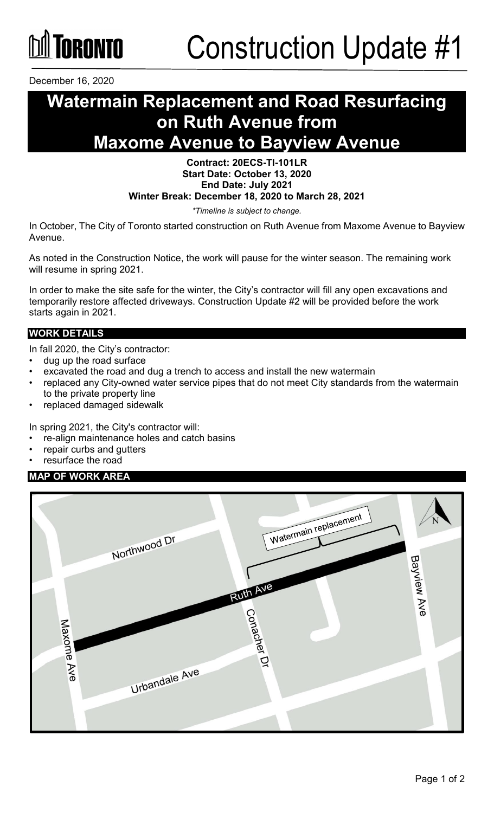

December 16, 2020

## **Watermain Replacement and Road Resurfacing on Ruth Avenue from Maxome Avenue to Bayview Avenue**

#### **Contract: 20ECS-TI-101LR Start Date: October 13, 2020 End Date: July 2021 Winter Break: December 18, 2020 to March 28, 2021**

*\*Timeline is subject to change.*

In October, The City of Toronto started construction on Ruth Avenue from Maxome Avenue to Bayview Avenue.

As noted in the Construction Notice, the work will pause for the winter season. The remaining work will resume in spring 2021.

In order to make the site safe for the winter, the City's contractor will fill any open excavations and temporarily restore affected driveways. Construction Update #2 will be provided before the work starts again in 2021.

#### **WORK DETAILS**

In fall 2020, the City's contractor:

- dug up the road surface
- excavated the road and dug a trench to access and install the new watermain
- replaced any City-owned water service pipes that do not meet City standards from the watermain to the private property line
- replaced damaged sidewalk

In spring 2021, the City's contractor will:

- re-align maintenance holes and catch basins
- repair curbs and gutters
- resurface the road

#### **MAP OF WORK AREA**